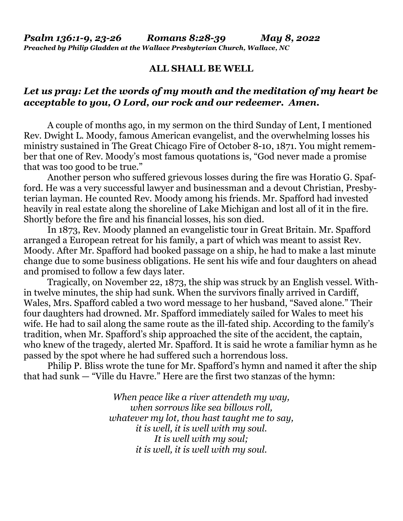#### **ALL SHALL BE WELL**

### *Let us pray: Let the words of my mouth and the meditation of my heart be acceptable to you, O Lord, our rock and our redeemer. Amen.*

A couple of months ago, in my sermon on the third Sunday of Lent, I mentioned Rev. Dwight L. Moody, famous American evangelist, and the overwhelming losses his ministry sustained in The Great Chicago Fire of October 8-10, 1871. You might remember that one of Rev. Moody's most famous quotations is, "God never made a promise that was too good to be true."

 Another person who suffered grievous losses during the fire was Horatio G. Spafford. He was a very successful lawyer and businessman and a devout Christian, Presbyterian layman. He counted Rev. Moody among his friends. Mr. Spafford had invested heavily in real estate along the shoreline of Lake Michigan and lost all of it in the fire. Shortly before the fire and his financial losses, his son died.

 In 1873, Rev. Moody planned an evangelistic tour in Great Britain. Mr. Spafford arranged a European retreat for his family, a part of which was meant to assist Rev. Moody. After Mr. Spafford had booked passage on a ship, he had to make a last minute change due to some business obligations. He sent his wife and four daughters on ahead and promised to follow a few days later.

 Tragically, on November 22, 1873, the ship was struck by an English vessel. Within twelve minutes, the ship had sunk. When the survivors finally arrived in Cardiff, Wales, Mrs. Spafford cabled a two word message to her husband, "Saved alone." Their four daughters had drowned. Mr. Spafford immediately sailed for Wales to meet his wife. He had to sail along the same route as the ill-fated ship. According to the family's tradition, when Mr. Spafford's ship approached the site of the accident, the captain, who knew of the tragedy, alerted Mr. Spafford. It is said he wrote a familiar hymn as he passed by the spot where he had suffered such a horrendous loss.

 Philip P. Bliss wrote the tune for Mr. Spafford's hymn and named it after the ship that had sunk — "Ville du Havre." Here are the first two stanzas of the hymn:

> *When peace like a river attendeth my way, when sorrows like sea billows roll, whatever my lot, thou hast taught me to say, it is well, it is well with my soul. It is well with my soul; it is well, it is well with my soul.*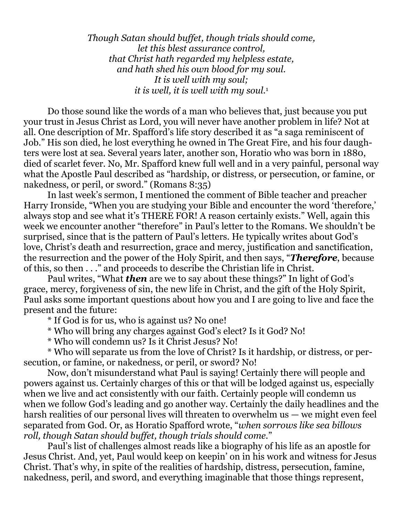*Though Satan should buffet, though trials should come, let this blest assurance control, that Christ hath regarded my helpless estate, and hath shed his own blood for my soul. It is well with my soul; it is well, it is well with my soul.*<sup>1</sup>

 Do those sound like the words of a man who believes that, just because you put your trust in Jesus Christ as Lord, you will never have another problem in life? Not at all. One description of Mr. Spafford's life story described it as "a saga reminiscent of Job." His son died, he lost everything he owned in The Great Fire, and his four daughters were lost at sea. Several years later, another son, Horatio who was born in 1880, died of scarlet fever. No, Mr. Spafford knew full well and in a very painful, personal way what the Apostle Paul described as "hardship, or distress, or persecution, or famine, or nakedness, or peril, or sword." (Romans 8:35)

 In last week's sermon, I mentioned the comment of Bible teacher and preacher Harry Ironside, "When you are studying your Bible and encounter the word 'therefore,' always stop and see what it's THERE FOR! A reason certainly exists." Well, again this week we encounter another "therefore" in Paul's letter to the Romans. We shouldn't be surprised, since that is the pattern of Paul's letters. He typically writes about God's love, Christ's death and resurrection, grace and mercy, justification and sanctification, the resurrection and the power of the Holy Spirit, and then says, "*Therefore*, because of this, so then . . ." and proceeds to describe the Christian life in Christ.

 Paul writes, "What *then* are we to say about these things?" In light of God's grace, mercy, forgiveness of sin, the new life in Christ, and the gift of the Holy Spirit, Paul asks some important questions about how you and I are going to live and face the present and the future:

\* If God is for us, who is against us? No one!

\* Who will bring any charges against God's elect? Is it God? No!

\* Who will condemn us? Is it Christ Jesus? No!

 \* Who will separate us from the love of Christ? Is it hardship, or distress, or persecution, or famine, or nakedness, or peril, or sword? No!

 Now, don't misunderstand what Paul is saying! Certainly there will people and powers against us. Certainly charges of this or that will be lodged against us, especially when we live and act consistently with our faith. Certainly people will condemn us when we follow God's leading and go another way. Certainly the daily headlines and the harsh realities of our personal lives will threaten to overwhelm us — we might even feel separated from God. Or, as Horatio Spafford wrote, "*when sorrows like sea billows roll, though Satan should buffet, though trials should come.*"

 Paul's list of challenges almost reads like a biography of his life as an apostle for Jesus Christ. And, yet, Paul would keep on keepin' on in his work and witness for Jesus Christ. That's why, in spite of the realities of hardship, distress, persecution, famine, nakedness, peril, and sword, and everything imaginable that those things represent,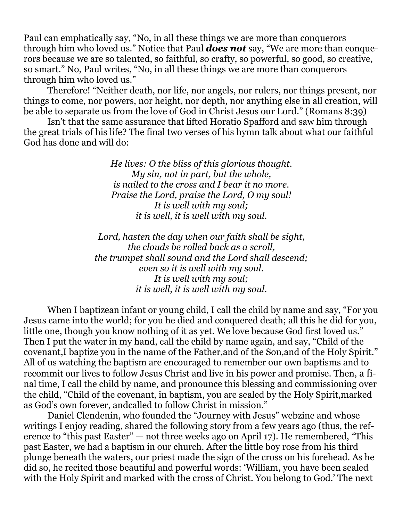Paul can emphatically say, "No, in all these things we are more than conquerors through him who loved us." Notice that Paul *does not* say, "We are more than conquerors because we are so talented, so faithful, so crafty, so powerful, so good, so creative, so smart." No, Paul writes, "No, in all these things we are more than conquerors through him who loved us."

 Therefore! "Neither death, nor life, nor angels, nor rulers, nor things present, nor things to come, nor powers, nor height, nor depth, nor anything else in all creation, will be able to separate us from the love of God in Christ Jesus our Lord." (Romans 8:39)

 Isn't that the same assurance that lifted Horatio Spafford and saw him through the great trials of his life? The final two verses of his hymn talk about what our faithful God has done and will do:

> *He lives: O the bliss of this glorious thought. My sin, not in part, but the whole, is nailed to the cross and I bear it no more. Praise the Lord, praise the Lord, O my soul! It is well with my soul; it is well, it is well with my soul.*

*Lord, hasten the day when our faith shall be sight, the clouds be rolled back as a scroll, the trumpet shall sound and the Lord shall descend; even so it is well with my soul. It is well with my soul; it is well, it is well with my soul.* 

When I baptizean infant or young child, I call the child by name and say, "For you Jesus came into the world; for you he died and conquered death; all this he did for you, little one, though you know nothing of it as yet. We love because God first loved us." Then I put the water in my hand, call the child by name again, and say, "Child of the covenant,I baptize you in the name of the Father,and of the Son,and of the Holy Spirit." All of us watching the baptism are encouraged to remember our own baptisms and to recommit our lives to follow Jesus Christ and live in his power and promise. Then, a final time, I call the child by name, and pronounce this blessing and commissioning over the child, "Child of the covenant, in baptism, you are sealed by the Holy Spirit,marked as God's own forever, andcalled to follow Christ in mission."

 Daniel Clendenin, who founded the "Journey with Jesus" webzine and whose writings I enjoy reading, shared the following story from a few years ago (thus, the reference to "this past Easter" — not three weeks ago on April 17). He remembered, "This past Easter, we had a baptism in our church. After the little boy rose from his third plunge beneath the waters, our priest made the sign of the cross on his forehead. As he did so, he recited those beautiful and powerful words: 'William, you have been sealed with the Holy Spirit and marked with the cross of Christ. You belong to God.' The next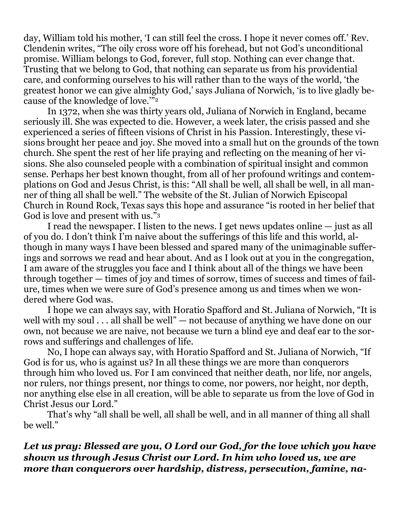day, William told his mother, 'I can still feel the cross. I hope it never comes off.' Rev. Clendenin writes, "The oily cross wore off his forehead, but not God's unconditional promise. William belongs to God, forever, full stop. Nothing can ever change that. Trusting that we belong to God, that nothing can separate us from his providential care, and conforming ourselves to his will rather than to the ways of the world, 'the greatest honor we can give almighty God,' says Juliana of Norwich, 'is to live gladly because of the knowledge of love.'"<sup>2</sup>

 In 1372, when she was thirty years old, Juliana of Norwich in England, became seriously ill. She was expected to die. However, a week later, the crisis passed and she experienced a series of fifteen visions of Christ in his Passion. Interestingly, these visions brought her peace and joy. She moved into a small hut on the grounds of the town church. She spent the rest of her life praying and reflecting on the meaning of her visions. She also counseled people with a combination of spiritual insight and common sense. Perhaps her best known thought, from all of her profound writings and contemplations on God and Jesus Christ, is this: "All shall be well, all shall be well, in all manner of thing all shall be well." The website of the St. Julian of Norwich Episcopal Church in Round Rock, Texas says this hope and assurance "is rooted in her belief that God is love and present with us."<sup>3</sup>

 I read the newspaper. I listen to the news. I get news updates online — just as all of you do. I don't think I'm naive about the sufferings of this life and this world, although in many ways I have been blessed and spared many of the unimaginable sufferings and sorrows we read and hear about. And as I look out at you in the congregation, I am aware of the struggles you face and I think about all of the things we have been through together — times of joy and times of sorrow, times of success and times of failure, times when we were sure of God's presence among us and times when we wondered where God was.

 I hope we can always say, with Horatio Spafford and St. Juliana of Norwich, "It is well with my soul . . . all shall be well" — not because of anything we have done on our own, not because we are naive, not because we turn a blind eye and deaf ear to the sorrows and sufferings and challenges of life.

 No, I hope can always say, with Horatio Spafford and St. Juliana of Norwich, "If God is for us, who is against us? In all these things we are more than conquerors through him who loved us. For I am convinced that neither death, nor life, nor angels, nor rulers, nor things present, nor things to come, nor powers, nor height, nor depth, nor anything else else in all creation, will be able to separate us from the love of God in Christ Jesus our Lord."

 That's why "all shall be well, all shall be well, and in all manner of thing all shall be well."

# *Let us pray: Blessed are you, O Lord our God, for the love which you have shown us through Jesus Christ our Lord. In him who loved us, we are more than conquerors over hardship, distress, persecution, famine, na-*